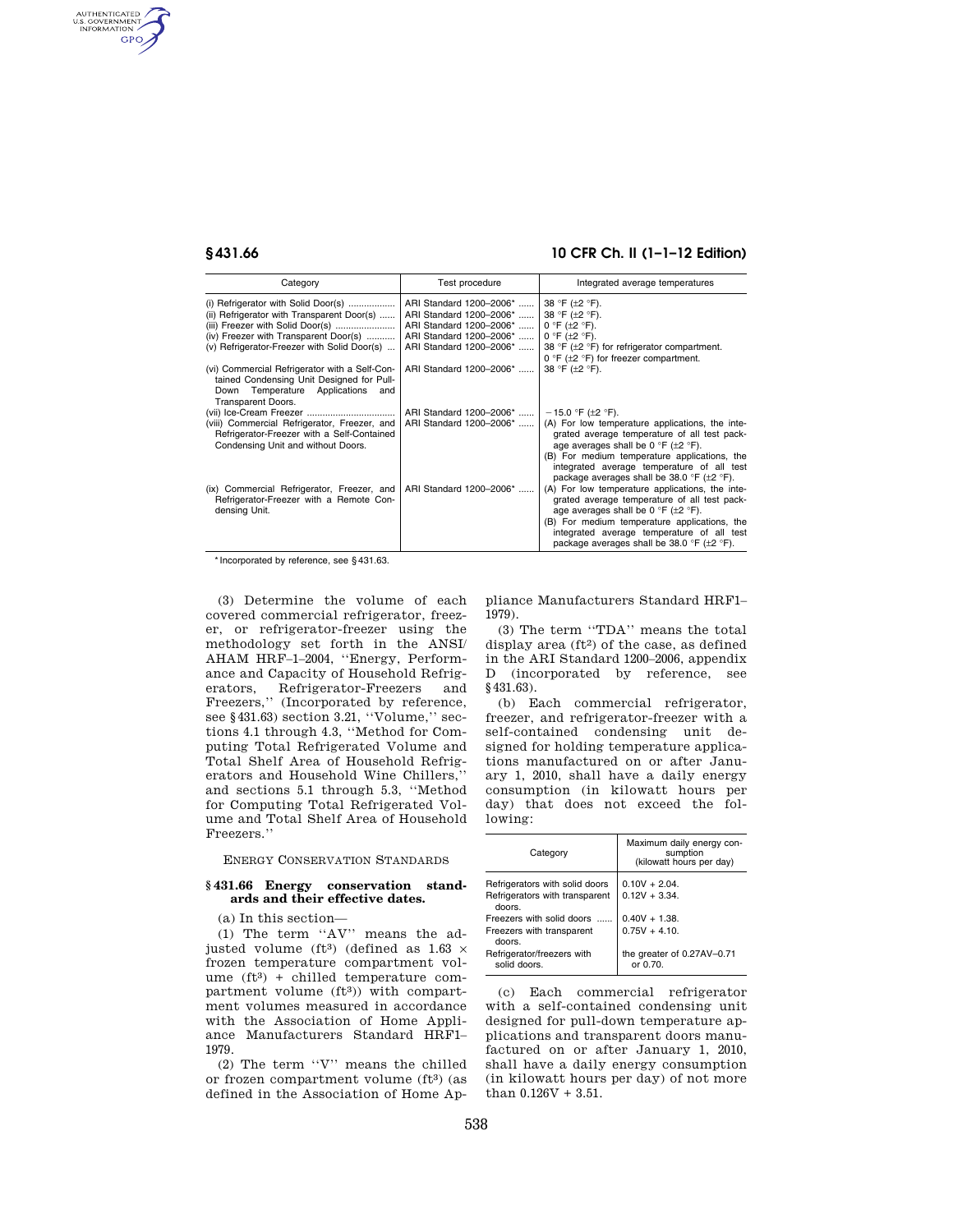AUTHENTICATED<br>U.S. GOVERNMENT<br>INFORMATION **GPO** 

# **§ 431.66 10 CFR Ch. II (1–1–12 Edition)**

| Category                                                                         | Test procedure          | Integrated average temperatures                                                                             |
|----------------------------------------------------------------------------------|-------------------------|-------------------------------------------------------------------------------------------------------------|
| (i) Refrigerator with Solid Door(s)                                              | ARI Standard 1200-2006* | 38 °F ( $\pm$ 2 °F).                                                                                        |
| (ii) Refrigerator with Transparent Door(s)                                       | ARI Standard 1200-2006* | 38 °F (±2 °F).                                                                                              |
| (iii) Freezer with Solid Door(s)                                                 | ARI Standard 1200-2006* | $0 °F$ ( $\pm 2 °F$ ).                                                                                      |
| (iv) Freezer with Transparent Door(s)                                            | ARI Standard 1200-2006* | $0 °F$ ( $\pm 2 °F$ ).                                                                                      |
| (v) Refrigerator-Freezer with Solid Door(s)                                      | ARI Standard 1200-2006* | 38 °F ( $\pm$ 2 °F) for refrigerator compartment.                                                           |
|                                                                                  |                         | 0 °F ( $\pm$ 2 °F) for freezer compartment.                                                                 |
| (vi) Commercial Refrigerator with a Self-Con-                                    | ARI Standard 1200-2006* | 38 °F (±2 °F).                                                                                              |
| tained Condensing Unit Designed for Pull-                                        |                         |                                                                                                             |
| Down Temperature Applications and                                                |                         |                                                                                                             |
| Transparent Doors.                                                               |                         |                                                                                                             |
|                                                                                  | ARI Standard 1200-2006* | $-15.0$ °F ( $\pm$ 2 °F).                                                                                   |
| (viii) Commercial Refrigerator, Freezer, and                                     | ARI Standard 1200-2006* | (A) For low temperature applications, the inte-                                                             |
| Refrigerator-Freezer with a Self-Contained<br>Condensing Unit and without Doors. |                         | grated average temperature of all test pack-<br>age averages shall be 0 $\degree$ F ( $\pm$ 2 $\degree$ F). |
|                                                                                  |                         | (B) For medium temperature applications, the                                                                |
|                                                                                  |                         | integrated average temperature of all test                                                                  |
|                                                                                  |                         | package averages shall be 38.0 $\degree$ F ( $\pm$ 2 $\degree$ F).                                          |
| (ix) Commercial Refrigerator, Freezer, and                                       | ARI Standard 1200-2006* | (A) For low temperature applications, the inte-                                                             |
| Refrigerator-Freezer with a Remote Con-                                          |                         | grated average temperature of all test pack-                                                                |
| densing Unit.                                                                    |                         | age averages shall be 0 $\degree$ F ( $\pm$ 2 $\degree$ F).                                                 |
|                                                                                  |                         | (B) For medium temperature applications, the                                                                |
|                                                                                  |                         | integrated average temperature of all test                                                                  |
|                                                                                  |                         | package averages shall be 38.0 °F (±2 °F).                                                                  |

\* Incorporated by reference, see § 431.63.

(3) Determine the volume of each covered commercial refrigerator, freezer, or refrigerator-freezer using the methodology set forth in the ANSI/ AHAM HRF–1–2004, ''Energy, Performance and Capacity of Household Refrigerators, Refrigerator-Freezers and Freezers,'' (Incorporated by reference, see §431.63) section 3.21, "Volume," sections 4.1 through 4.3, ''Method for Computing Total Refrigerated Volume and Total Shelf Area of Household Refrigerators and Household Wine Chillers,'' and sections 5.1 through 5.3, ''Method for Computing Total Refrigerated Volume and Total Shelf Area of Household Freezers.''

ENERGY CONSERVATION STANDARDS

#### **§ 431.66 Energy conservation standards and their effective dates.**

(a) In this section—

(1) The term ''AV'' means the adjusted volume (ft<sup>3</sup>) (defined as  $1.63 \times$ frozen temperature compartment volume  $(ft<sup>3</sup>)$  + chilled temperature compartment volume (ft3)) with compartment volumes measured in accordance with the Association of Home Appliance Manufacturers Standard HRF1– 1979.

(2) The term ''V'' means the chilled or frozen compartment volume (ft3) (as defined in the Association of Home Ap-

pliance Manufacturers Standard HRF1– 1979).

(3) The term ''TDA'' means the total display area  $(ft<sup>2</sup>)$  of the case, as defined in the ARI Standard 1200–2006, appendix D (incorporated by reference, see §431.63).

(b) Each commercial refrigerator, freezer, and refrigerator-freezer with a self-contained condensing unit designed for holding temperature applications manufactured on or after January 1, 2010, shall have a daily energy consumption (in kilowatt hours per day) that does not exceed the following:

| Category                                                                   | Maximum daily energy con-<br>sumption<br>(kilowatt hours per day) |  |  |  |
|----------------------------------------------------------------------------|-------------------------------------------------------------------|--|--|--|
| Refrigerators with solid doors<br>Refrigerators with transparent<br>doors. | $0.10V + 2.04$ .<br>$0.12V + 3.34$ .                              |  |  |  |
| Freezers with solid doors                                                  | $0.40V + 1.38$ .                                                  |  |  |  |
| Freezers with transparent<br>doors.                                        | $0.75V + 4.10$ .                                                  |  |  |  |
| Refrigerator/freezers with<br>solid doors.                                 | the greater of 0.27AV-0.71<br>or 0.70.                            |  |  |  |

(c) Each commercial refrigerator with a self-contained condensing unit designed for pull-down temperature applications and transparent doors manufactured on or after January 1, 2010, shall have a daily energy consumption (in kilowatt hours per day) of not more than 0.126V + 3.51.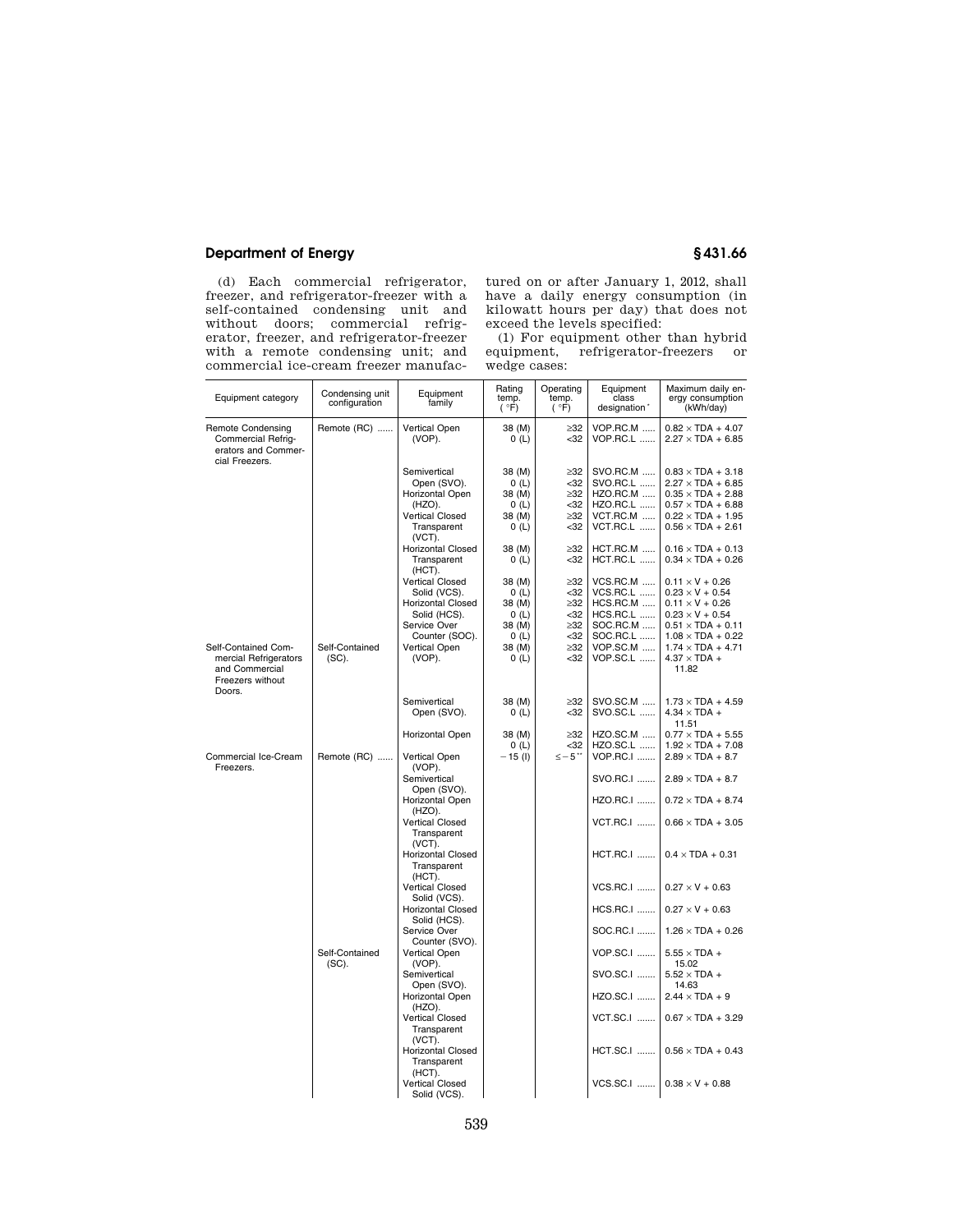# **Department of Energy § 431.66**

(d) Each commercial refrigerator, freezer, and refrigerator-freezer with a self-contained condensing unit and without doors; commercial refrigerator, freezer, and refrigerator-freezer with a remote condensing unit; and commercial ice-cream freezer manufactured on or after January 1, 2012, shall have a daily energy consumption (in kilowatt hours per day) that does not exceed the levels specified:

(1) For equipment other than hybrid equipment, refrigerator-freezers or wedge cases:

| Equipment category                                                                      | Condensing unit<br>configuration | Equipment<br>family                                                                                                                          | Rating<br>temp.<br>(°F)                                      | Operating<br>temp.<br>(°F)                                               | Equipment<br>class<br>designation*                                                                       | Maximum daily en-<br>ergy consumption<br>(kWh/day)                                                                                                                                       |
|-----------------------------------------------------------------------------------------|----------------------------------|----------------------------------------------------------------------------------------------------------------------------------------------|--------------------------------------------------------------|--------------------------------------------------------------------------|----------------------------------------------------------------------------------------------------------|------------------------------------------------------------------------------------------------------------------------------------------------------------------------------------------|
| <b>Remote Condensing</b><br>Commercial Refrig-<br>erators and Commer-<br>cial Freezers. | Remote (RC)                      | Vertical Open<br>(VOP).                                                                                                                      | 38 (M)<br>0(L)                                               | $\geq$ 32<br>$32$                                                        | VOP.RC.M<br><b>VOP.RC.L </b>                                                                             | $0.82 \times TDA + 4.07$<br>$2.27 \times TDA + 6.85$                                                                                                                                     |
|                                                                                         |                                  | Semivertical<br>Open (SVO).<br>Horizontal Open<br>(HZO).<br><b>Vertical Closed</b><br>Transparent                                            | 38 (M)<br>0(L)<br>38 (M)<br>0(L)<br>38 (M)<br>0(L)           | $\geq 32$<br>$32$<br>$\geq$ 32<br>$32$<br>$\geq$ 32<br>$32$              | SVO.RC.M<br>SVO.RC.L<br><b>HZO.RC.M </b><br>HZO.RC.L<br>VCT.RC.M<br>VCT.RC.L                             | $0.83 \times TDA + 3.18$<br>$2.27 \times TDA + 6.85$<br>$0.35 \times TDA + 2.88$<br>$0.57 \times TDA + 6.88$<br>$0.22 \times TDA + 1.95$<br>$0.56 \times TDA + 2.61$                     |
|                                                                                         |                                  | (VCT).<br><b>Horizontal Closed</b><br>Transparent<br>(HCT).                                                                                  | 38 (M)<br>0(L)                                               | $\geq 32$<br>$32$                                                        | HCT.RC.M<br><b>HCT.RC.L </b>                                                                             | $0.16 \times TDA + 0.13$<br>$0.34 \times TDA + 0.26$                                                                                                                                     |
| Self-Contained Com-                                                                     | Self-Contained                   | <b>Vertical Closed</b><br>Solid (VCS).<br><b>Horizontal Closed</b><br>Solid (HCS).<br>Service Over<br>Counter (SOC).<br><b>Vertical Open</b> | 38 (M)<br>0(L)<br>38 (M)<br>0(L)<br>38 (M)<br>0(L)<br>38 (M) | $\geq$ 32<br>$32$<br>$\geq$ 32<br>$32$<br>$\geq$ 32<br>$32$<br>$\geq$ 32 | <b>VCS.RC.M </b><br>VCS.RC.L<br><b>HCS.RC.M </b><br><b>HCS.RC.L </b><br>SOC.RC.M<br>SOC.RC.L<br>VOP.SC.M | $0.11 \times V + 0.26$<br>$0.23 \times V + 0.54$<br>$0.11 \times V + 0.26$<br>$0.23 \times V + 0.54$<br>$0.51 \times TDA + 0.11$<br>$1.08 \times TDA + 0.22$<br>$1.74 \times TDA + 4.71$ |
| mercial Refrigerators<br>and Commercial<br>Freezers without<br>Doors.                   | $(SC)$ .                         | (VOP).                                                                                                                                       | 0(L)                                                         | $32$                                                                     | VOP.SC.L                                                                                                 | $4.37 \times TDA +$<br>11.82                                                                                                                                                             |
|                                                                                         |                                  | Semivertical<br>Open (SVO).                                                                                                                  | 38 (M)<br>0(L)                                               | $\geq$ 32<br>$32$                                                        | SVO.SC.M<br>SVO.SC.L                                                                                     | $1.73 \times TDA + 4.59$<br>$4.34 \times TDA +$<br>11.51                                                                                                                                 |
| Commercial Ice-Cream<br>Freezers.                                                       | Remote (RC)                      | Horizontal Open<br><b>Vertical Open</b>                                                                                                      | 38 (M)<br>0(L)<br>– 15 (l)                                   | $\geq$ 32<br>$32$<br>≤−5**                                               | <b>HZO.SC.M </b><br><b>HZO.SC.L </b><br><b>VOP.RC.I </b>                                                 | $0.77 \times TDA + 5.55$<br>$1.92 \times TDA + 7.08$<br>$2.89 \times TDA + 8.7$                                                                                                          |
|                                                                                         |                                  | (VOP).<br>Semivertical<br>Open (SVO).                                                                                                        |                                                              |                                                                          | SVO.RC.I<br>HZO.RC.I                                                                                     | $2.89 \times TDA + 8.7$<br>$0.72 \times TDA + 8.74$                                                                                                                                      |
|                                                                                         |                                  | Horizontal Open<br>(HZO).<br><b>Vertical Closed</b><br>Transparent                                                                           |                                                              |                                                                          | <b>VCT.RC.I </b>                                                                                         | $0.66 \times TDA + 3.05$                                                                                                                                                                 |
|                                                                                         |                                  | (VCT).<br><b>Horizontal Closed</b><br>Transparent                                                                                            |                                                              |                                                                          | <b>HCT.RC.I </b>                                                                                         | $0.4 \times TDA + 0.31$                                                                                                                                                                  |
|                                                                                         |                                  | (HCT).<br><b>Vertical Closed</b><br>Solid (VCS).                                                                                             |                                                              |                                                                          | <b>VCS.RC.I </b>                                                                                         | $0.27 \times V + 0.63$                                                                                                                                                                   |
|                                                                                         |                                  | <b>Horizontal Closed</b><br>Solid (HCS).<br>Service Over                                                                                     |                                                              |                                                                          | <b>HCS.RC.I </b><br>SOC.RC.I                                                                             | $0.27 \times V + 0.63$<br>$1.26 \times TDA + 0.26$                                                                                                                                       |
|                                                                                         | Self-Contained                   | Counter (SVO).<br>Vertical Open                                                                                                              |                                                              |                                                                          | <b>VOP.SC.I </b>                                                                                         | $5.55 \times TDA +$                                                                                                                                                                      |
|                                                                                         | (SC).                            | (VOP).<br>Semivertical<br>Open (SVO).                                                                                                        |                                                              |                                                                          | SVO.SC.I                                                                                                 | 15.02<br>$5.52 \times TDA +$<br>14.63                                                                                                                                                    |
|                                                                                         |                                  | Horizontal Open<br>(HZO).                                                                                                                    |                                                              |                                                                          | HZO.SC.I                                                                                                 | $2.44 \times TDA + 9$                                                                                                                                                                    |
|                                                                                         |                                  | <b>Vertical Closed</b><br>Transparent<br>(VCT).                                                                                              |                                                              |                                                                          | <b>VCT.SC.I </b>                                                                                         | $0.67 \times TDA + 3.29$                                                                                                                                                                 |
|                                                                                         |                                  | <b>Horizontal Closed</b><br>Transparent<br>(HCT).                                                                                            |                                                              |                                                                          | <b>HCT.SC.I</b>                                                                                          | $0.56 \times TDA + 0.43$                                                                                                                                                                 |
|                                                                                         |                                  | <b>Vertical Closed</b><br>Solid (VCS).                                                                                                       |                                                              |                                                                          | <b>VCS.SC.I </b>                                                                                         | $0.38 \times V + 0.88$                                                                                                                                                                   |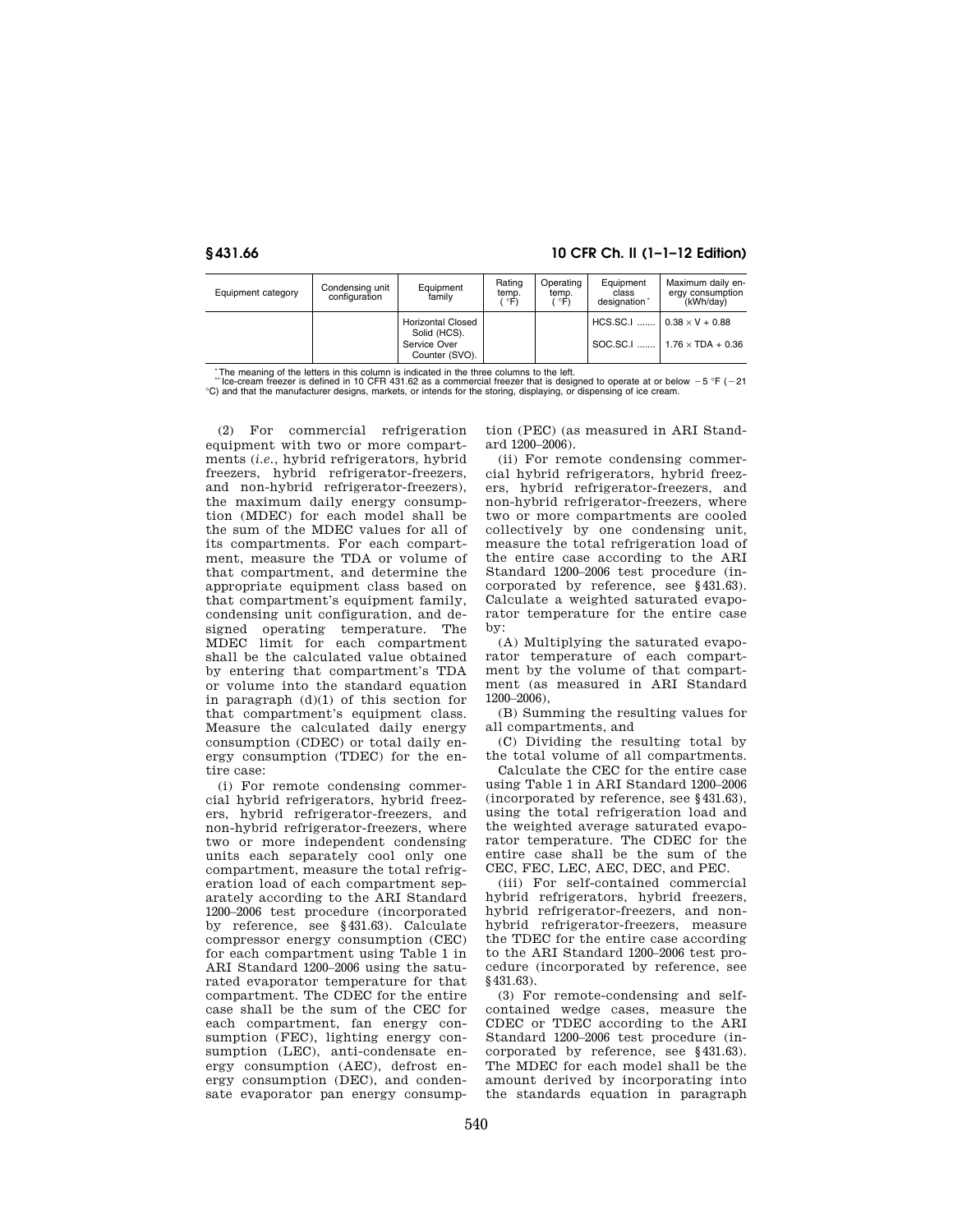# **§ 431.66 10 CFR Ch. II (1–1–12 Edition)**

| Equipment category | Condensing unit<br>configuration | Equipment<br>family                                                        | Rating<br>temp.<br>ີ°Fົ). | Operating<br>temp.<br>°F) | Equipment<br>class<br>designation* | Maximum daily en-<br>ergy consumption<br>(kWh/dav)             |
|--------------------|----------------------------------|----------------------------------------------------------------------------|---------------------------|---------------------------|------------------------------------|----------------------------------------------------------------|
|                    |                                  | <b>Horizontal Closed</b><br>Solid (HCS).<br>Service Over<br>Counter (SVO). |                           |                           | <b>HCS.SC.I </b>                   | $0.38 \times V + 0.88$<br>SOC.SC.I    1.76 $\times$ TDA + 0.36 |

The meaning of the letters in this column is indicated in the three columns to the left.

"Ice-cream freezer is defined in 10 CFR 431.62 as a commercial freezer that is designed to operate at or below  $-5$  °F ( $-21$ <br>
°C) and that the manufacturer designs, markets, or intends for the storing, displaying, or dis

(2) For commercial refrigeration equipment with two or more compartments (*i.e.*, hybrid refrigerators, hybrid freezers, hybrid refrigerator-freezers, and non-hybrid refrigerator-freezers), the maximum daily energy consumption (MDEC) for each model shall be the sum of the MDEC values for all of its compartments. For each compartment, measure the TDA or volume of that compartment, and determine the appropriate equipment class based on that compartment's equipment family, condensing unit configuration, and designed operating temperature. The MDEC limit for each compartment shall be the calculated value obtained by entering that compartment's TDA or volume into the standard equation in paragraph (d)(1) of this section for that compartment's equipment class. Measure the calculated daily energy consumption (CDEC) or total daily energy consumption (TDEC) for the entire case:

(i) For remote condensing commercial hybrid refrigerators, hybrid freezers, hybrid refrigerator-freezers, and non-hybrid refrigerator-freezers, where two or more independent condensing units each separately cool only one compartment, measure the total refrigeration load of each compartment separately according to the ARI Standard 1200–2006 test procedure (incorporated by reference, see §431.63). Calculate compressor energy consumption (CEC) for each compartment using Table 1 in ARI Standard 1200–2006 using the saturated evaporator temperature for that compartment. The CDEC for the entire case shall be the sum of the CEC for each compartment, fan energy consumption (FEC), lighting energy consumption (LEC), anti-condensate energy consumption (AEC), defrost energy consumption (DEC), and condensate evaporator pan energy consumption (PEC) (as measured in ARI Standard 1200–2006).

(ii) For remote condensing commercial hybrid refrigerators, hybrid freezers, hybrid refrigerator-freezers, and non-hybrid refrigerator-freezers, where two or more compartments are cooled collectively by one condensing unit, measure the total refrigeration load of the entire case according to the ARI Standard 1200–2006 test procedure (incorporated by reference, see §431.63). Calculate a weighted saturated evaporator temperature for the entire case by:

(A) Multiplying the saturated evaporator temperature of each compartment by the volume of that compartment (as measured in ARI Standard 1200–2006),

(B) Summing the resulting values for all compartments, and

(C) Dividing the resulting total by the total volume of all compartments.

Calculate the CEC for the entire case using Table 1 in ARI Standard 1200–2006 (incorporated by reference, see §431.63), using the total refrigeration load and the weighted average saturated evaporator temperature. The CDEC for the entire case shall be the sum of the CEC, FEC, LEC, AEC, DEC, and PEC.

(iii) For self-contained commercial hybrid refrigerators, hybrid freezers, hybrid refrigerator-freezers, and nonhybrid refrigerator-freezers, measure the TDEC for the entire case according to the ARI Standard 1200–2006 test procedure (incorporated by reference, see §431.63).

(3) For remote-condensing and selfcontained wedge cases, measure the CDEC or TDEC according to the ARI Standard 1200–2006 test procedure (incorporated by reference, see §431.63). The MDEC for each model shall be the amount derived by incorporating into the standards equation in paragraph